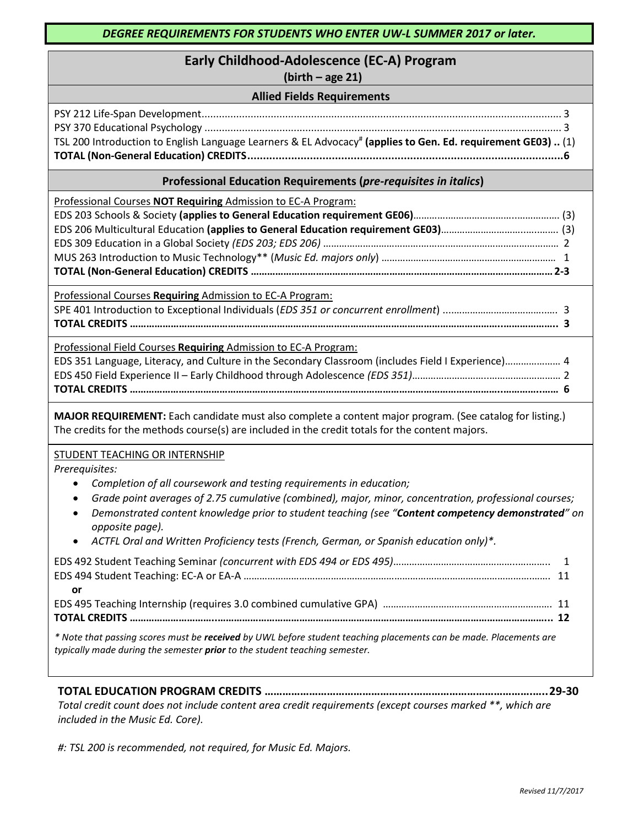# **Early Childhood-Adolescence (EC-A) Program**

# **(birth – age 21)**

### **Allied Fields Requirements**

| TSL 200 Introduction to English Language Learners & EL Advocacy <sup>#</sup> (applies to Gen. Ed. requirement GE03)  (1) |  |
|--------------------------------------------------------------------------------------------------------------------------|--|
|                                                                                                                          |  |

### **Professional Education Requirements (***pre-requisites in italics***)**

Professional Courses **NOT Requiring** Admission to EC-A Program: EDS 203 Schools & Society **(applies to General Education requirement GE06)**………….……………………..……………. (3) EDS 206 Multicultural Education **(applies to General Education requirement GE03)**…………………………..…..……. (3) EDS 309 Education in a Global Society *(EDS 203; EDS 206)* ……………………………….……….…………………………………… 2 MUS 263 Introduction to Music Technology\*\* (*Music Ed. majors only*) ………………………………………………………… 1 **TOTAL (Non-General Education) CREDITS …………………………………………………………………………………………………2-3**

Professional Courses **Requiring** Admission to EC-A Program: SPE 401 Introduction to Exceptional Individuals (*EDS 351 or concurrent enrollment*) ....……………………………..…. 3 **TOTAL CREDITS ………………………………………………………………………………………………………………………..……………….. 3**

Professional Field Courses **Requiring** Admission to EC-A Program: EDS 351 Language, Literacy, and Culture in the Secondary Classroom (includes Field I Experience)………………… 4 EDS 450 Field Experience II – Early Childhood through Adolescence *(EDS 351)*………………………..……………………… 2 **TOTAL CREDITS ………………………………………………………………………………………………………………………..…………..…… 6**

**MAJOR REQUIREMENT:** Each candidate must also complete a content major program. (See catalog for listing.) The credits for the methods course(s) are included in the credit totals for the content majors.

STUDENT TEACHING OR INTERNSHIP

*Prerequisites:* 

- *Completion of all coursework and testing requirements in education;*
- *Grade point averages of 2.75 cumulative (combined), major, minor, concentration, professional courses;*
- *Demonstrated content knowledge prior to student teaching (see "Content competency demonstrated" on opposite page).*
- *ACTFL Oral and Written Proficiency tests (French, German, or Spanish education only)\*.*

| or o                                                                                                                                                                                            |  |
|-------------------------------------------------------------------------------------------------------------------------------------------------------------------------------------------------|--|
|                                                                                                                                                                                                 |  |
|                                                                                                                                                                                                 |  |
| * Note that passing scores must be received by UWL before student teaching placements can be made. Placements are<br>typically made during the semester prior to the student teaching semester. |  |

**TOTAL EDUCATION PROGRAM CREDITS …………………………………………..………………………………….…..29-30** *Total credit count does not include content area credit requirements (except courses marked \*\*, which are included in the Music Ed. Core).*

*#: TSL 200 is recommended, not required, for Music Ed. Majors.*